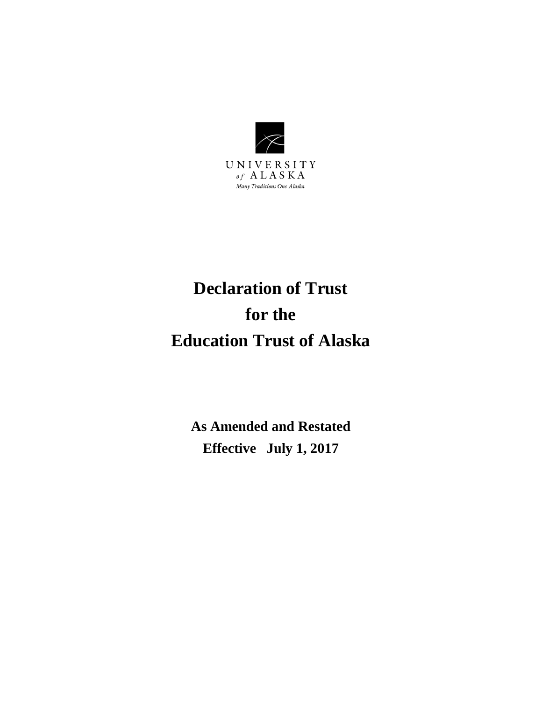

# **Declaration of Trust for the Education Trust of Alaska**

**As Amended and Restated Effective July 1, 2017**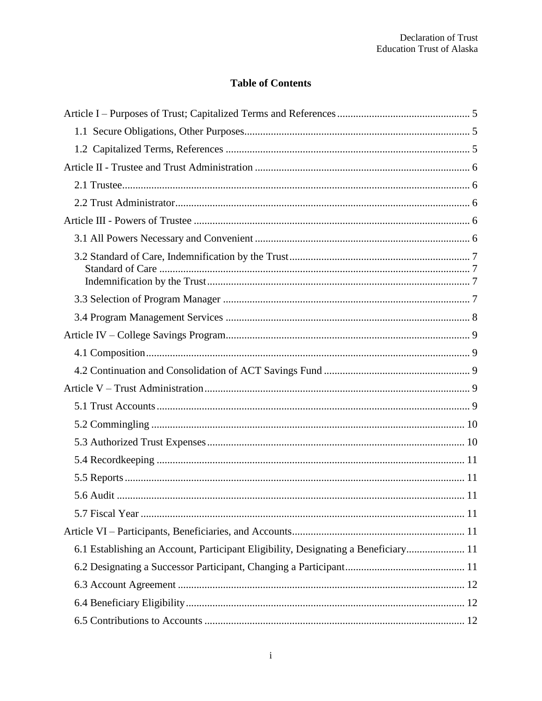# **Table of Contents**

| 6.1 Establishing an Account, Participant Eligibility, Designating a Beneficiary 11 |
|------------------------------------------------------------------------------------|
|                                                                                    |
|                                                                                    |
|                                                                                    |
|                                                                                    |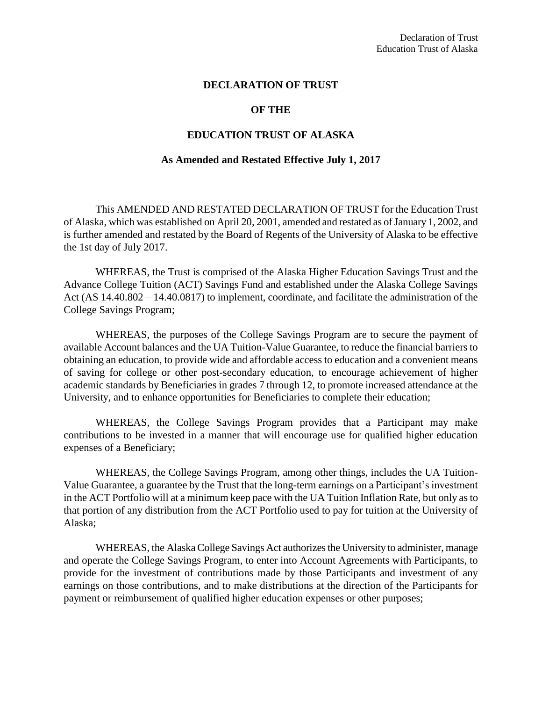#### **DECLARATION OF TRUST**

#### **OF THE**

#### **EDUCATION TRUST OF ALASKA**

#### **As Amended and Restated Effective July 1, 2017**

This AMENDED AND RESTATED DECLARATION OF TRUST for the Education Trust of Alaska, which was established on April 20, 2001, amended and restated as of January 1, 2002, and is further amended and restated by the Board of Regents of the University of Alaska to be effective the 1st day of July 2017.

WHEREAS, the Trust is comprised of the Alaska Higher Education Savings Trust and the Advance College Tuition (ACT) Savings Fund and established under the Alaska College Savings Act (AS 14.40.802 – 14.40.0817) to implement, coordinate, and facilitate the administration of the College Savings Program;

WHEREAS, the purposes of the College Savings Program are to secure the payment of available Account balances and the UA Tuition-Value Guarantee, to reduce the financial barriers to obtaining an education, to provide wide and affordable access to education and a convenient means of saving for college or other post-secondary education, to encourage achievement of higher academic standards by Beneficiaries in grades 7 through 12, to promote increased attendance at the University, and to enhance opportunities for Beneficiaries to complete their education;

WHEREAS, the College Savings Program provides that a Participant may make contributions to be invested in a manner that will encourage use for qualified higher education expenses of a Beneficiary;

WHEREAS, the College Savings Program, among other things, includes the UA Tuition-Value Guarantee, a guarantee by the Trust that the long-term earnings on a Participant's investment in the ACT Portfolio will at a minimum keep pace with the UA Tuition Inflation Rate, but only as to that portion of any distribution from the ACT Portfolio used to pay for tuition at the University of Alaska;

WHEREAS, the Alaska College Savings Act authorizes the University to administer, manage and operate the College Savings Program, to enter into Account Agreements with Participants, to provide for the investment of contributions made by those Participants and investment of any earnings on those contributions, and to make distributions at the direction of the Participants for payment or reimbursement of qualified higher education expenses or other purposes;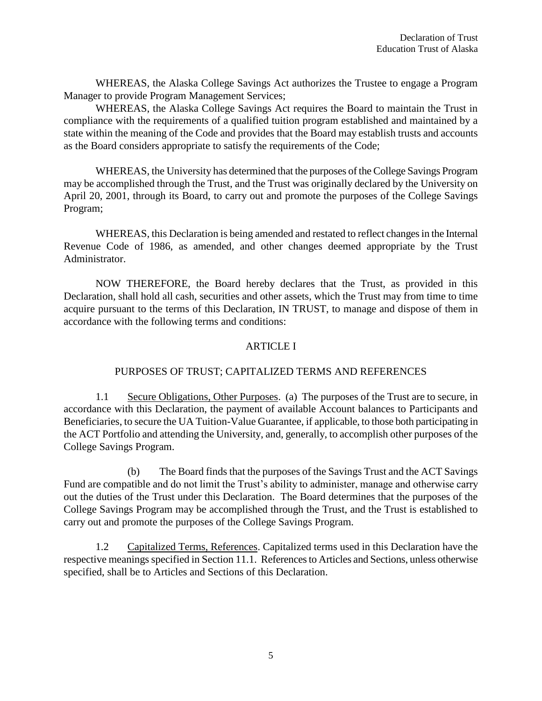WHEREAS, the Alaska College Savings Act authorizes the Trustee to engage a Program Manager to provide Program Management Services;

WHEREAS, the Alaska College Savings Act requires the Board to maintain the Trust in compliance with the requirements of a qualified tuition program established and maintained by a state within the meaning of the Code and provides that the Board may establish trusts and accounts as the Board considers appropriate to satisfy the requirements of the Code;

WHEREAS, the University has determined that the purposes of the College Savings Program may be accomplished through the Trust, and the Trust was originally declared by the University on April 20, 2001, through its Board, to carry out and promote the purposes of the College Savings Program;

WHEREAS, this Declaration is being amended and restated to reflect changes in the Internal Revenue Code of 1986, as amended, and other changes deemed appropriate by the Trust Administrator.

NOW THEREFORE, the Board hereby declares that the Trust, as provided in this Declaration, shall hold all cash, securities and other assets, which the Trust may from time to time acquire pursuant to the terms of this Declaration, IN TRUST, to manage and dispose of them in accordance with the following terms and conditions:

## ARTICLE I

## PURPOSES OF TRUST; CAPITALIZED TERMS AND REFERENCES

1.1 Secure Obligations, Other Purposes. (a) The purposes of the Trust are to secure, in accordance with this Declaration, the payment of available Account balances to Participants and Beneficiaries, to secure the UA Tuition-Value Guarantee, if applicable, to those both participating in the ACT Portfolio and attending the University, and, generally, to accomplish other purposes of the College Savings Program.

(b) The Board finds that the purposes of the Savings Trust and the ACT Savings Fund are compatible and do not limit the Trust's ability to administer, manage and otherwise carry out the duties of the Trust under this Declaration. The Board determines that the purposes of the College Savings Program may be accomplished through the Trust, and the Trust is established to carry out and promote the purposes of the College Savings Program.

1.2 Capitalized Terms, References. Capitalized terms used in this Declaration have the respective meanings specified in Section 11.1. References to Articles and Sections, unless otherwise specified, shall be to Articles and Sections of this Declaration.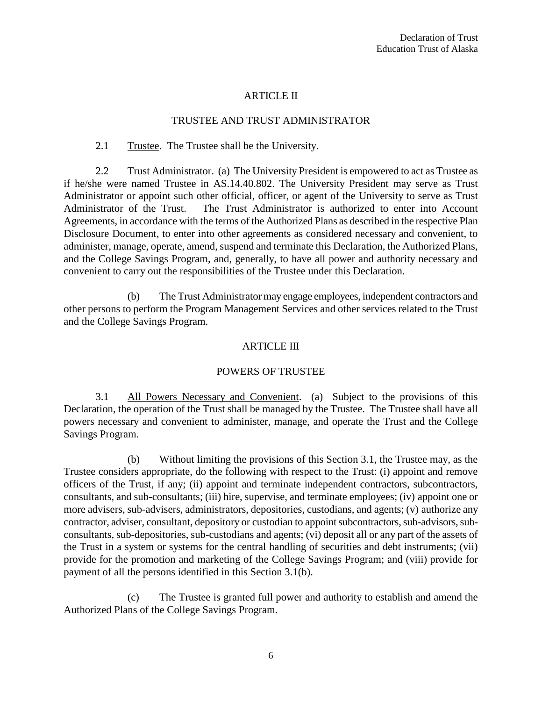## ARTICLE II

#### TRUSTEE AND TRUST ADMINISTRATOR

#### 2.1 Trustee. The Trustee shall be the University.

2.2 Trust Administrator. (a) The University President is empowered to act as Trustee as if he/she were named Trustee in AS.14.40.802. The University President may serve as Trust Administrator or appoint such other official, officer, or agent of the University to serve as Trust Administrator of the Trust. The Trust Administrator is authorized to enter into Account Agreements, in accordance with the terms of the Authorized Plans as described in the respective Plan Disclosure Document, to enter into other agreements as considered necessary and convenient, to administer, manage, operate, amend, suspend and terminate this Declaration, the Authorized Plans, and the College Savings Program, and, generally, to have all power and authority necessary and convenient to carry out the responsibilities of the Trustee under this Declaration.

(b) The Trust Administrator may engage employees, independent contractors and other persons to perform the Program Management Services and other services related to the Trust and the College Savings Program.

#### ARTICLE III

#### POWERS OF TRUSTEE

3.1 All Powers Necessary and Convenient. (a) Subject to the provisions of this Declaration, the operation of the Trust shall be managed by the Trustee. The Trustee shall have all powers necessary and convenient to administer, manage, and operate the Trust and the College Savings Program.

(b) Without limiting the provisions of this Section 3.1, the Trustee may, as the Trustee considers appropriate, do the following with respect to the Trust: (i) appoint and remove officers of the Trust, if any; (ii) appoint and terminate independent contractors, subcontractors, consultants, and sub-consultants; (iii) hire, supervise, and terminate employees; (iv) appoint one or more advisers, sub-advisers, administrators, depositories, custodians, and agents; (v) authorize any contractor, adviser, consultant, depository or custodian to appoint subcontractors, sub-advisors, subconsultants, sub-depositories, sub-custodians and agents; (vi) deposit all or any part of the assets of the Trust in a system or systems for the central handling of securities and debt instruments; (vii) provide for the promotion and marketing of the College Savings Program; and (viii) provide for payment of all the persons identified in this Section 3.1(b).

(c) The Trustee is granted full power and authority to establish and amend the Authorized Plans of the College Savings Program.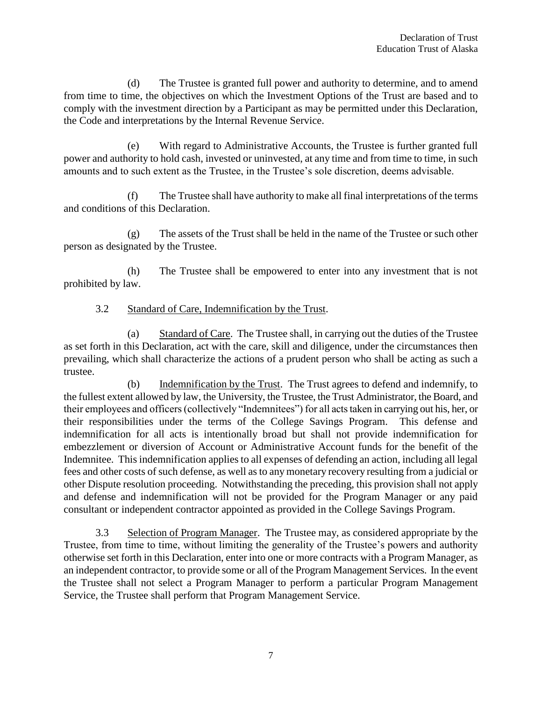(d) The Trustee is granted full power and authority to determine, and to amend from time to time, the objectives on which the Investment Options of the Trust are based and to comply with the investment direction by a Participant as may be permitted under this Declaration, the Code and interpretations by the Internal Revenue Service.

(e) With regard to Administrative Accounts, the Trustee is further granted full power and authority to hold cash, invested or uninvested, at any time and from time to time, in such amounts and to such extent as the Trustee, in the Trustee's sole discretion, deems advisable.

(f) The Trustee shall have authority to make all final interpretations of the terms and conditions of this Declaration.

(g) The assets of the Trust shall be held in the name of the Trustee or such other person as designated by the Trustee.

(h) The Trustee shall be empowered to enter into any investment that is not prohibited by law.

## 3.2 Standard of Care, Indemnification by the Trust.

(a) Standard of Care. The Trustee shall, in carrying out the duties of the Trustee as set forth in this Declaration, act with the care, skill and diligence, under the circumstances then prevailing, which shall characterize the actions of a prudent person who shall be acting as such a trustee.

(b) Indemnification by the Trust. The Trust agrees to defend and indemnify, to the fullest extent allowed by law, the University, the Trustee, the Trust Administrator, the Board, and their employees and officers (collectively "Indemnitees") for all acts taken in carrying out his, her, or their responsibilities under the terms of the College Savings Program. This defense and indemnification for all acts is intentionally broad but shall not provide indemnification for embezzlement or diversion of Account or Administrative Account funds for the benefit of the Indemnitee. This indemnification applies to all expenses of defending an action, including all legal fees and other costs of such defense, as well as to any monetary recovery resulting from a judicial or other Dispute resolution proceeding. Notwithstanding the preceding, this provision shall not apply and defense and indemnification will not be provided for the Program Manager or any paid consultant or independent contractor appointed as provided in the College Savings Program.

3.3 Selection of Program Manager. The Trustee may, as considered appropriate by the Trustee, from time to time, without limiting the generality of the Trustee's powers and authority otherwise set forth in this Declaration, enter into one or more contracts with a Program Manager, as an independent contractor, to provide some or all of the Program Management Services. In the event the Trustee shall not select a Program Manager to perform a particular Program Management Service, the Trustee shall perform that Program Management Service.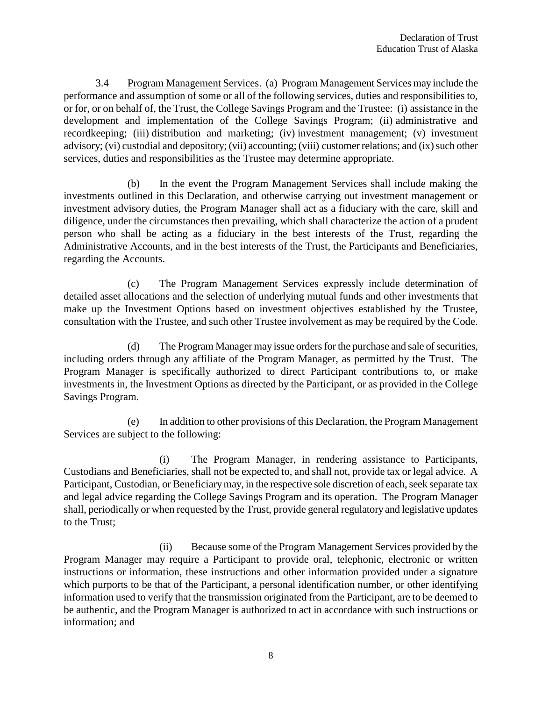3.4 Program Management Services. (a) Program Management Services may include the performance and assumption of some or all of the following services, duties and responsibilities to, or for, or on behalf of, the Trust, the College Savings Program and the Trustee: (i) assistance in the development and implementation of the College Savings Program; (ii) administrative and recordkeeping; (iii) distribution and marketing; (iv) investment management; (v) investment advisory; (vi) custodial and depository; (vii) accounting; (viii) customer relations; and (ix) such other services, duties and responsibilities as the Trustee may determine appropriate.

(b) In the event the Program Management Services shall include making the investments outlined in this Declaration, and otherwise carrying out investment management or investment advisory duties, the Program Manager shall act as a fiduciary with the care, skill and diligence, under the circumstances then prevailing, which shall characterize the action of a prudent person who shall be acting as a fiduciary in the best interests of the Trust, regarding the Administrative Accounts, and in the best interests of the Trust, the Participants and Beneficiaries, regarding the Accounts.

(c) The Program Management Services expressly include determination of detailed asset allocations and the selection of underlying mutual funds and other investments that make up the Investment Options based on investment objectives established by the Trustee, consultation with the Trustee, and such other Trustee involvement as may be required by the Code.

(d) The Program Manager may issue orders for the purchase and sale of securities, including orders through any affiliate of the Program Manager, as permitted by the Trust. The Program Manager is specifically authorized to direct Participant contributions to, or make investments in, the Investment Options as directed by the Participant, or as provided in the College Savings Program.

(e) In addition to other provisions of this Declaration, the Program Management Services are subject to the following:

(i) The Program Manager, in rendering assistance to Participants, Custodians and Beneficiaries, shall not be expected to, and shall not, provide tax or legal advice. A Participant, Custodian, or Beneficiary may, in the respective sole discretion of each, seek separate tax and legal advice regarding the College Savings Program and its operation. The Program Manager shall, periodically or when requested by the Trust, provide general regulatory and legislative updates to the Trust;

(ii) Because some of the Program Management Services provided by the Program Manager may require a Participant to provide oral, telephonic, electronic or written instructions or information, these instructions and other information provided under a signature which purports to be that of the Participant, a personal identification number, or other identifying information used to verify that the transmission originated from the Participant, are to be deemed to be authentic, and the Program Manager is authorized to act in accordance with such instructions or information; and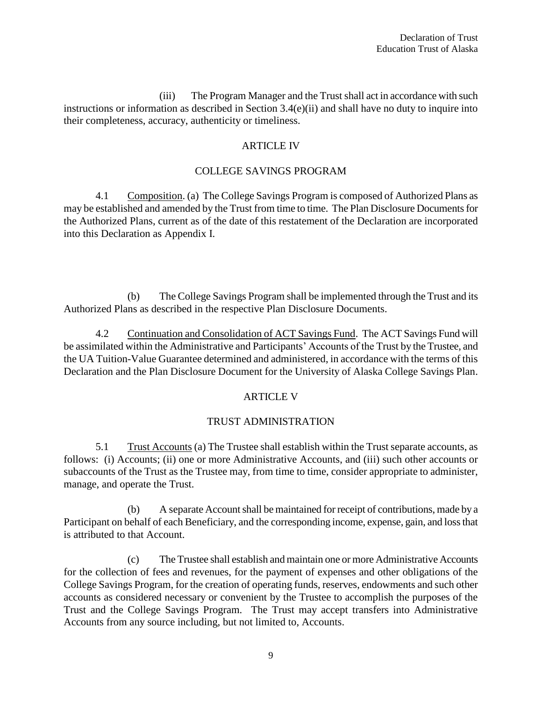(iii) The Program Manager and the Trust shall act in accordance with such instructions or information as described in Section 3.4(e)(ii) and shall have no duty to inquire into their completeness, accuracy, authenticity or timeliness.

## ARTICLE IV

## COLLEGE SAVINGS PROGRAM

4.1 Composition. (a) The College Savings Program is composed of Authorized Plans as may be established and amended by the Trust from time to time. The Plan Disclosure Documents for the Authorized Plans, current as of the date of this restatement of the Declaration are incorporated into this Declaration as Appendix I.

(b) The College Savings Program shall be implemented through the Trust and its Authorized Plans as described in the respective Plan Disclosure Documents.

4.2 Continuation and Consolidation of ACT Savings Fund. The ACT Savings Fund will be assimilated within the Administrative and Participants' Accounts of the Trust by the Trustee, and the UA Tuition-Value Guarantee determined and administered, in accordance with the terms of this Declaration and the Plan Disclosure Document for the University of Alaska College Savings Plan.

## ARTICLE V

## TRUST ADMINISTRATION

5.1 Trust Accounts (a) The Trustee shall establish within the Trust separate accounts, as follows: (i) Accounts; (ii) one or more Administrative Accounts, and (iii) such other accounts or subaccounts of the Trust as the Trustee may, from time to time, consider appropriate to administer, manage, and operate the Trust.

(b) A separate Account shall be maintained for receipt of contributions, made by a Participant on behalf of each Beneficiary, and the corresponding income, expense, gain, and loss that is attributed to that Account.

(c) The Trustee shall establish and maintain one or more Administrative Accounts for the collection of fees and revenues, for the payment of expenses and other obligations of the College Savings Program, for the creation of operating funds, reserves, endowments and such other accounts as considered necessary or convenient by the Trustee to accomplish the purposes of the Trust and the College Savings Program. The Trust may accept transfers into Administrative Accounts from any source including, but not limited to, Accounts.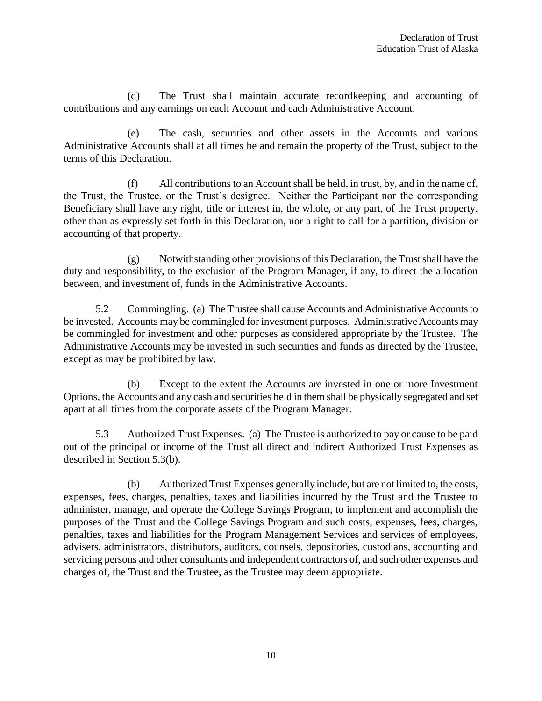(d) The Trust shall maintain accurate recordkeeping and accounting of contributions and any earnings on each Account and each Administrative Account.

(e) The cash, securities and other assets in the Accounts and various Administrative Accounts shall at all times be and remain the property of the Trust, subject to the terms of this Declaration.

(f) All contributions to an Account shall be held, in trust, by, and in the name of, the Trust, the Trustee, or the Trust's designee. Neither the Participant nor the corresponding Beneficiary shall have any right, title or interest in, the whole, or any part, of the Trust property, other than as expressly set forth in this Declaration, nor a right to call for a partition, division or accounting of that property.

(g) Notwithstanding other provisions of this Declaration, the Trust shall have the duty and responsibility, to the exclusion of the Program Manager, if any, to direct the allocation between, and investment of, funds in the Administrative Accounts.

5.2 Commingling. (a) The Trustee shall cause Accounts and Administrative Accounts to be invested. Accounts may be commingled for investment purposes. Administrative Accounts may be commingled for investment and other purposes as considered appropriate by the Trustee. The Administrative Accounts may be invested in such securities and funds as directed by the Trustee, except as may be prohibited by law.

(b) Except to the extent the Accounts are invested in one or more Investment Options, the Accounts and any cash and securities held in them shall be physically segregated and set apart at all times from the corporate assets of the Program Manager.

5.3 Authorized Trust Expenses. (a) The Trustee is authorized to pay or cause to be paid out of the principal or income of the Trust all direct and indirect Authorized Trust Expenses as described in Section 5.3(b).

(b) Authorized Trust Expenses generally include, but are not limited to, the costs, expenses, fees, charges, penalties, taxes and liabilities incurred by the Trust and the Trustee to administer, manage, and operate the College Savings Program, to implement and accomplish the purposes of the Trust and the College Savings Program and such costs, expenses, fees, charges, penalties, taxes and liabilities for the Program Management Services and services of employees, advisers, administrators, distributors, auditors, counsels, depositories, custodians, accounting and servicing persons and other consultants and independent contractors of, and such other expenses and charges of, the Trust and the Trustee, as the Trustee may deem appropriate.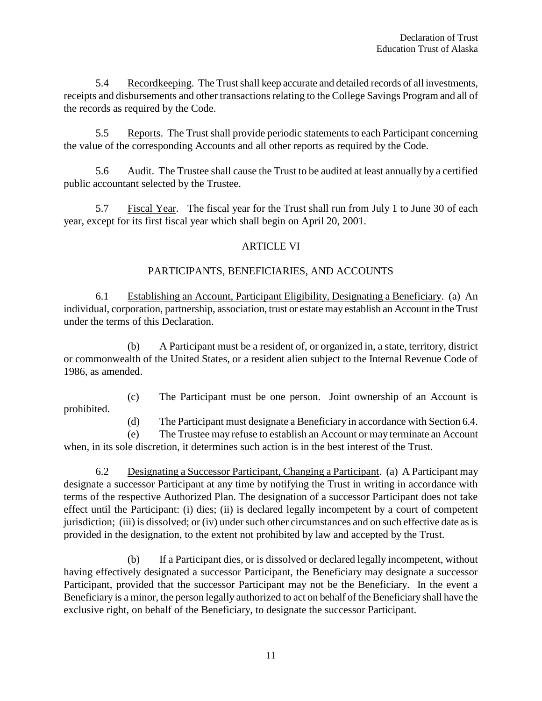5.4 Recordkeeping. The Trust shall keep accurate and detailed records of all investments, receipts and disbursements and other transactions relating to the College Savings Program and all of the records as required by the Code.

5.5 Reports. The Trust shall provide periodic statements to each Participant concerning the value of the corresponding Accounts and all other reports as required by the Code.

5.6 Audit. The Trustee shall cause the Trust to be audited at least annually by a certified public accountant selected by the Trustee.

5.7 Fiscal Year. The fiscal year for the Trust shall run from July 1 to June 30 of each year, except for its first fiscal year which shall begin on April 20, 2001.

## ARTICLE VI

## PARTICIPANTS, BENEFICIARIES, AND ACCOUNTS

6.1 Establishing an Account, Participant Eligibility, Designating a Beneficiary. (a) An individual, corporation, partnership, association, trust or estate may establish an Account in the Trust under the terms of this Declaration.

(b) A Participant must be a resident of, or organized in, a state, territory, district or commonwealth of the United States, or a resident alien subject to the Internal Revenue Code of 1986, as amended.

(c) The Participant must be one person. Joint ownership of an Account is prohibited.

(d) The Participant must designate a Beneficiary in accordance with Section 6.4.

(e) The Trustee may refuse to establish an Account or may terminate an Account when, in its sole discretion, it determines such action is in the best interest of the Trust.

6.2 Designating a Successor Participant, Changing a Participant. (a) A Participant may designate a successor Participant at any time by notifying the Trust in writing in accordance with terms of the respective Authorized Plan. The designation of a successor Participant does not take effect until the Participant: (i) dies; (ii) is declared legally incompetent by a court of competent jurisdiction; (iii) is dissolved; or (iv) under such other circumstances and on such effective date as is provided in the designation, to the extent not prohibited by law and accepted by the Trust.

(b) If a Participant dies, or is dissolved or declared legally incompetent, without having effectively designated a successor Participant, the Beneficiary may designate a successor Participant, provided that the successor Participant may not be the Beneficiary. In the event a Beneficiary is a minor, the person legally authorized to act on behalf of the Beneficiary shall have the exclusive right, on behalf of the Beneficiary, to designate the successor Participant.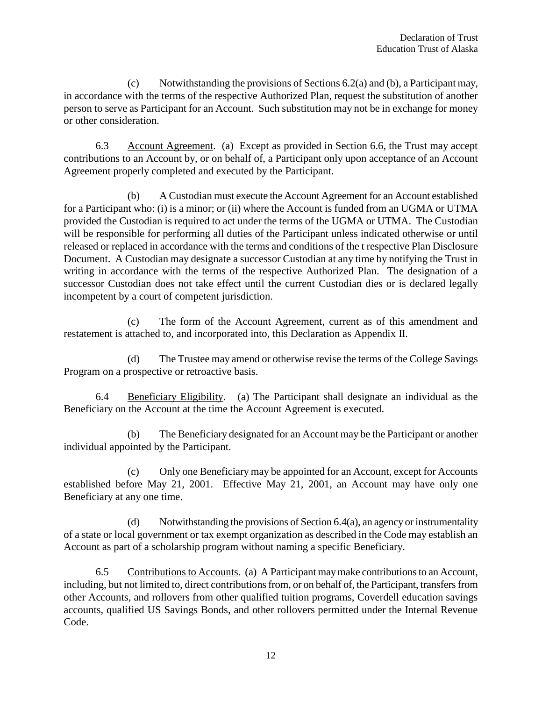(c) Notwithstanding the provisions of Sections 6.2(a) and (b), a Participant may, in accordance with the terms of the respective Authorized Plan, request the substitution of another person to serve as Participant for an Account. Such substitution may not be in exchange for money or other consideration.

6.3 Account Agreement. (a) Except as provided in Section 6.6, the Trust may accept contributions to an Account by, or on behalf of, a Participant only upon acceptance of an Account Agreement properly completed and executed by the Participant.

(b) A Custodian must execute the Account Agreement for an Account established for a Participant who: (i) is a minor; or (ii) where the Account is funded from an UGMA or UTMA provided the Custodian is required to act under the terms of the UGMA or UTMA. The Custodian will be responsible for performing all duties of the Participant unless indicated otherwise or until released or replaced in accordance with the terms and conditions of the t respective Plan Disclosure Document. A Custodian may designate a successor Custodian at any time by notifying the Trust in writing in accordance with the terms of the respective Authorized Plan. The designation of a successor Custodian does not take effect until the current Custodian dies or is declared legally incompetent by a court of competent jurisdiction.

(c) The form of the Account Agreement, current as of this amendment and restatement is attached to, and incorporated into, this Declaration as Appendix II.

(d) The Trustee may amend or otherwise revise the terms of the College Savings Program on a prospective or retroactive basis.

6.4 Beneficiary Eligibility. (a) The Participant shall designate an individual as the Beneficiary on the Account at the time the Account Agreement is executed.

(b) The Beneficiary designated for an Account may be the Participant or another individual appointed by the Participant.

(c) Only one Beneficiary may be appointed for an Account, except for Accounts established before May 21, 2001. Effective May 21, 2001, an Account may have only one Beneficiary at any one time.

(d) Notwithstanding the provisions of Section  $6.4(a)$ , an agency or instrumentality of a state or local government or tax exempt organization as described in the Code may establish an Account as part of a scholarship program without naming a specific Beneficiary.

6.5 Contributions to Accounts. (a) A Participant may make contributions to an Account, including, but not limited to, direct contributions from, or on behalf of, the Participant, transfers from other Accounts, and rollovers from other qualified tuition programs, Coverdell education savings accounts, qualified US Savings Bonds, and other rollovers permitted under the Internal Revenue Code.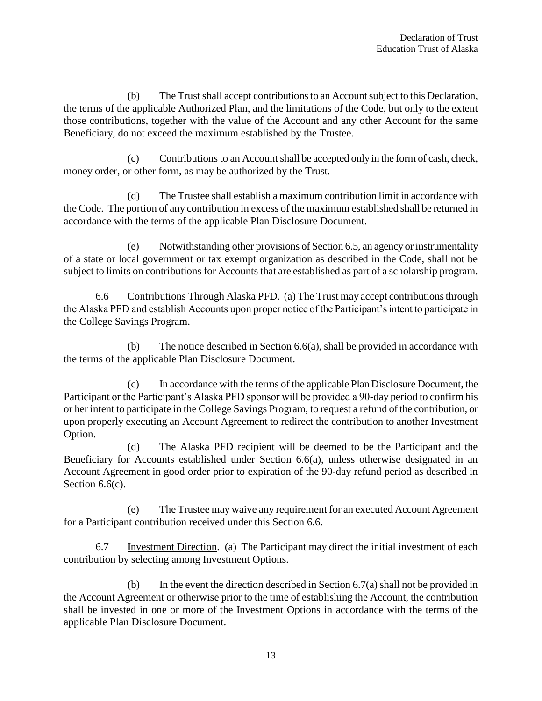(b) The Trust shall accept contributions to an Account subject to this Declaration, the terms of the applicable Authorized Plan, and the limitations of the Code, but only to the extent those contributions, together with the value of the Account and any other Account for the same Beneficiary, do not exceed the maximum established by the Trustee.

(c) Contributions to an Account shall be accepted only in the form of cash, check, money order, or other form, as may be authorized by the Trust.

(d) The Trustee shall establish a maximum contribution limit in accordance with the Code. The portion of any contribution in excess of the maximum established shall be returned in accordance with the terms of the applicable Plan Disclosure Document.

(e) Notwithstanding other provisions of Section 6.5, an agency or instrumentality of a state or local government or tax exempt organization as described in the Code, shall not be subject to limits on contributions for Accounts that are established as part of a scholarship program.

6.6 Contributions Through Alaska PFD. (a) The Trust may accept contributions through the Alaska PFD and establish Accounts upon proper notice of the Participant's intent to participate in the College Savings Program.

(b) The notice described in Section 6.6(a), shall be provided in accordance with the terms of the applicable Plan Disclosure Document.

(c) In accordance with the terms of the applicable Plan Disclosure Document, the Participant or the Participant's Alaska PFD sponsor will be provided a 90-day period to confirm his or her intent to participate in the College Savings Program, to request a refund of the contribution, or upon properly executing an Account Agreement to redirect the contribution to another Investment Option.

(d) The Alaska PFD recipient will be deemed to be the Participant and the Beneficiary for Accounts established under Section 6.6(a), unless otherwise designated in an Account Agreement in good order prior to expiration of the 90-day refund period as described in Section 6.6(c).

(e) The Trustee may waive any requirement for an executed Account Agreement for a Participant contribution received under this Section 6.6.

6.7 Investment Direction. (a) The Participant may direct the initial investment of each contribution by selecting among Investment Options.

(b) In the event the direction described in Section 6.7(a) shall not be provided in the Account Agreement or otherwise prior to the time of establishing the Account, the contribution shall be invested in one or more of the Investment Options in accordance with the terms of the applicable Plan Disclosure Document.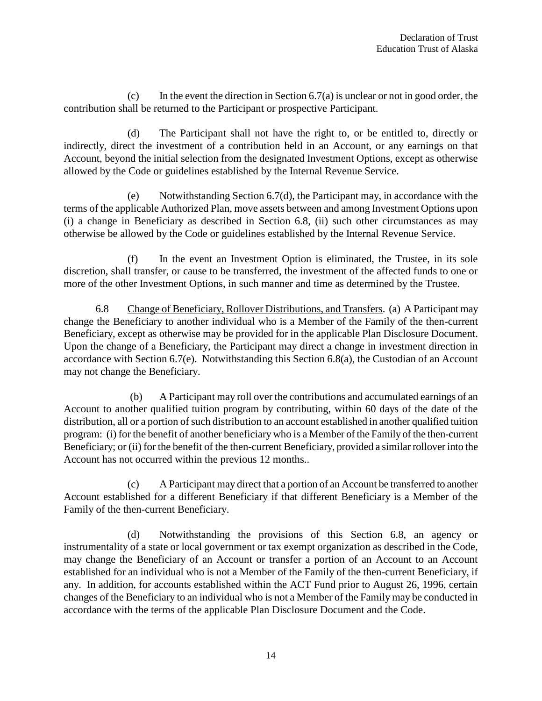$(c)$  In the event the direction in Section 6.7(a) is unclear or not in good order, the contribution shall be returned to the Participant or prospective Participant.

(d) The Participant shall not have the right to, or be entitled to, directly or indirectly, direct the investment of a contribution held in an Account, or any earnings on that Account, beyond the initial selection from the designated Investment Options, except as otherwise allowed by the Code or guidelines established by the Internal Revenue Service.

(e) Notwithstanding Section 6.7(d), the Participant may, in accordance with the terms of the applicable Authorized Plan, move assets between and among Investment Options upon (i) a change in Beneficiary as described in Section 6.8, (ii) such other circumstances as may otherwise be allowed by the Code or guidelines established by the Internal Revenue Service.

(f) In the event an Investment Option is eliminated, the Trustee, in its sole discretion, shall transfer, or cause to be transferred, the investment of the affected funds to one or more of the other Investment Options, in such manner and time as determined by the Trustee.

6.8 Change of Beneficiary, Rollover Distributions, and Transfers. (a) A Participant may change the Beneficiary to another individual who is a Member of the Family of the then-current Beneficiary, except as otherwise may be provided for in the applicable Plan Disclosure Document. Upon the change of a Beneficiary, the Participant may direct a change in investment direction in accordance with Section 6.7(e). Notwithstanding this Section 6.8(a), the Custodian of an Account may not change the Beneficiary.

(b) A Participant may roll over the contributions and accumulated earnings of an Account to another qualified tuition program by contributing, within 60 days of the date of the distribution, all or a portion of such distribution to an account established in another qualified tuition program: (i) for the benefit of another beneficiary who is a Member of the Family of the then-current Beneficiary; or (ii) for the benefit of the then-current Beneficiary, provided a similar rollover into the Account has not occurred within the previous 12 months..

(c) A Participant may direct that a portion of an Account be transferred to another Account established for a different Beneficiary if that different Beneficiary is a Member of the Family of the then-current Beneficiary.

(d) Notwithstanding the provisions of this Section 6.8, an agency or instrumentality of a state or local government or tax exempt organization as described in the Code, may change the Beneficiary of an Account or transfer a portion of an Account to an Account established for an individual who is not a Member of the Family of the then-current Beneficiary, if any. In addition, for accounts established within the ACT Fund prior to August 26, 1996, certain changes of the Beneficiary to an individual who is not a Member of the Family may be conducted in accordance with the terms of the applicable Plan Disclosure Document and the Code.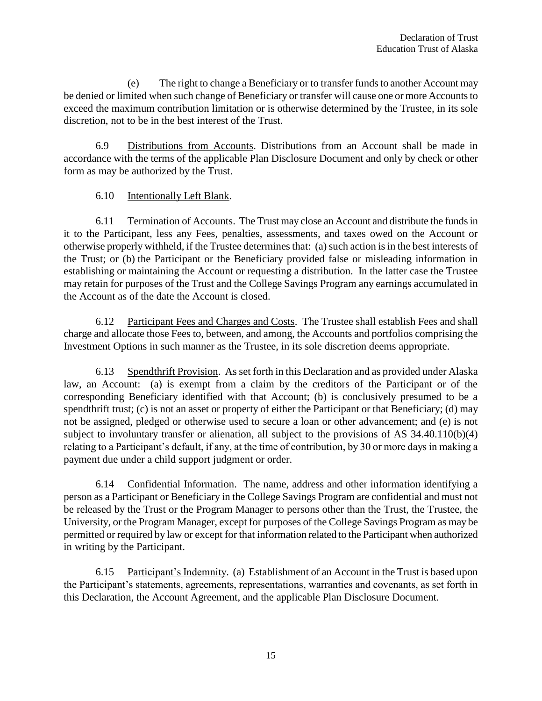(e) The right to change a Beneficiary or to transfer funds to another Account may be denied or limited when such change of Beneficiary or transfer will cause one or more Accounts to exceed the maximum contribution limitation or is otherwise determined by the Trustee, in its sole discretion, not to be in the best interest of the Trust.

6.9 Distributions from Accounts. Distributions from an Account shall be made in accordance with the terms of the applicable Plan Disclosure Document and only by check or other form as may be authorized by the Trust.

6.10 Intentionally Left Blank.

6.11 Termination of Accounts. The Trust may close an Account and distribute the funds in it to the Participant, less any Fees, penalties, assessments, and taxes owed on the Account or otherwise properly withheld, if the Trustee determines that: (a) such action is in the best interests of the Trust; or (b) the Participant or the Beneficiary provided false or misleading information in establishing or maintaining the Account or requesting a distribution. In the latter case the Trustee may retain for purposes of the Trust and the College Savings Program any earnings accumulated in the Account as of the date the Account is closed.

6.12 Participant Fees and Charges and Costs. The Trustee shall establish Fees and shall charge and allocate those Fees to, between, and among, the Accounts and portfolios comprising the Investment Options in such manner as the Trustee, in its sole discretion deems appropriate.

6.13 Spendthrift Provision. As set forth in this Declaration and as provided under Alaska law, an Account: (a) is exempt from a claim by the creditors of the Participant or of the corresponding Beneficiary identified with that Account; (b) is conclusively presumed to be a spendthrift trust; (c) is not an asset or property of either the Participant or that Beneficiary; (d) may not be assigned, pledged or otherwise used to secure a loan or other advancement; and (e) is not subject to involuntary transfer or alienation, all subject to the provisions of AS 34.40.110(b)(4) relating to a Participant's default, if any, at the time of contribution, by 30 or more days in making a payment due under a child support judgment or order.

6.14 Confidential Information. The name, address and other information identifying a person as a Participant or Beneficiary in the College Savings Program are confidential and must not be released by the Trust or the Program Manager to persons other than the Trust, the Trustee, the University, or the Program Manager, except for purposes of the College Savings Program as may be permitted or required by law or except for that information related to the Participant when authorized in writing by the Participant.

6.15 Participant's Indemnity. (a) Establishment of an Account in the Trust is based upon the Participant's statements, agreements, representations, warranties and covenants, as set forth in this Declaration, the Account Agreement, and the applicable Plan Disclosure Document.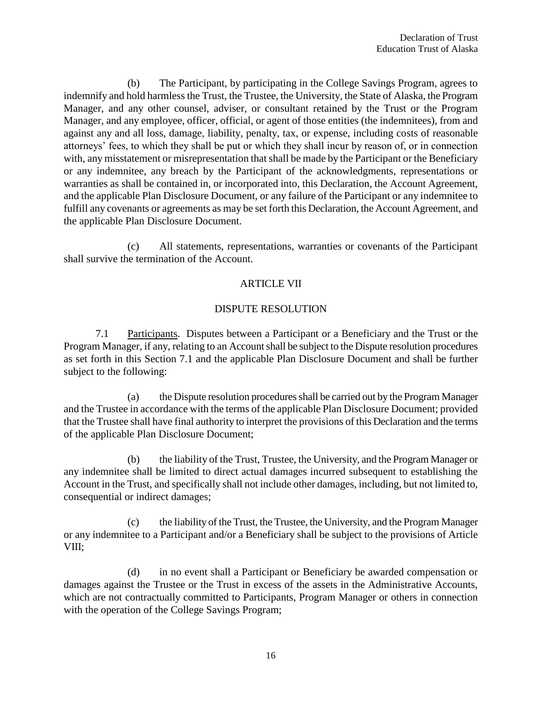(b) The Participant, by participating in the College Savings Program, agrees to indemnify and hold harmless the Trust, the Trustee, the University, the State of Alaska, the Program Manager, and any other counsel, adviser, or consultant retained by the Trust or the Program Manager, and any employee, officer, official, or agent of those entities (the indemnitees), from and against any and all loss, damage, liability, penalty, tax, or expense, including costs of reasonable attorneys' fees, to which they shall be put or which they shall incur by reason of, or in connection with, any misstatement or misrepresentation that shall be made by the Participant or the Beneficiary or any indemnitee, any breach by the Participant of the acknowledgments, representations or warranties as shall be contained in, or incorporated into, this Declaration, the Account Agreement, and the applicable Plan Disclosure Document, or any failure of the Participant or any indemnitee to fulfill any covenants or agreements as may be set forth this Declaration, the Account Agreement, and the applicable Plan Disclosure Document.

(c) All statements, representations, warranties or covenants of the Participant shall survive the termination of the Account.

## ARTICLE VII

#### DISPUTE RESOLUTION

7.1 Participants. Disputes between a Participant or a Beneficiary and the Trust or the Program Manager, if any, relating to an Account shall be subject to the Dispute resolution procedures as set forth in this Section 7.1 and the applicable Plan Disclosure Document and shall be further subject to the following:

(a) the Dispute resolution procedures shall be carried out by the Program Manager and the Trustee in accordance with the terms of the applicable Plan Disclosure Document; provided that the Trustee shall have final authority to interpret the provisions of this Declaration and the terms of the applicable Plan Disclosure Document;

(b) the liability of the Trust, Trustee, the University, and the Program Manager or any indemnitee shall be limited to direct actual damages incurred subsequent to establishing the Account in the Trust, and specifically shall not include other damages, including, but not limited to, consequential or indirect damages;

(c) the liability of the Trust, the Trustee, the University, and the Program Manager or any indemnitee to a Participant and/or a Beneficiary shall be subject to the provisions of Article VIII;

(d) in no event shall a Participant or Beneficiary be awarded compensation or damages against the Trustee or the Trust in excess of the assets in the Administrative Accounts, which are not contractually committed to Participants, Program Manager or others in connection with the operation of the College Savings Program;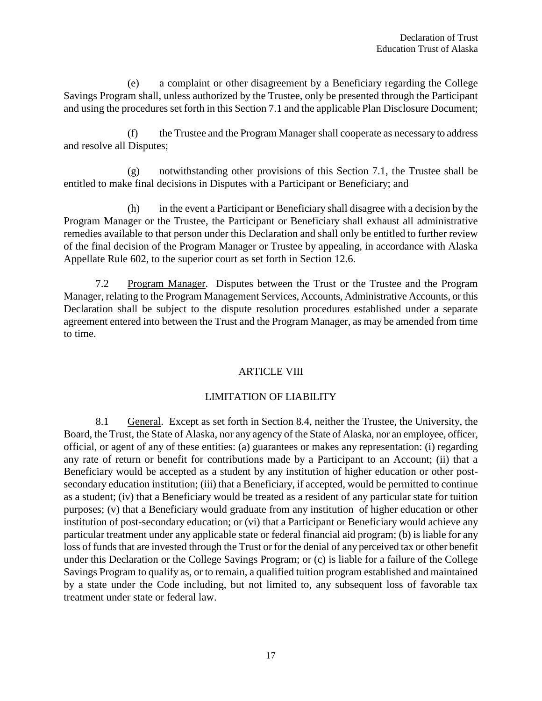(e) a complaint or other disagreement by a Beneficiary regarding the College Savings Program shall, unless authorized by the Trustee, only be presented through the Participant and using the procedures set forth in this Section 7.1 and the applicable Plan Disclosure Document;

(f) the Trustee and the Program Manager shall cooperate as necessary to address and resolve all Disputes;

(g) notwithstanding other provisions of this Section 7.1, the Trustee shall be entitled to make final decisions in Disputes with a Participant or Beneficiary; and

(h) in the event a Participant or Beneficiary shall disagree with a decision by the Program Manager or the Trustee, the Participant or Beneficiary shall exhaust all administrative remedies available to that person under this Declaration and shall only be entitled to further review of the final decision of the Program Manager or Trustee by appealing, in accordance with Alaska Appellate Rule 602, to the superior court as set forth in Section 12.6.

7.2 Program Manager. Disputes between the Trust or the Trustee and the Program Manager, relating to the Program Management Services, Accounts, Administrative Accounts, or this Declaration shall be subject to the dispute resolution procedures established under a separate agreement entered into between the Trust and the Program Manager, as may be amended from time to time.

## ARTICLE VIII

## LIMITATION OF LIABILITY

8.1 General. Except as set forth in Section 8.4, neither the Trustee, the University, the Board, the Trust, the State of Alaska, nor any agency of the State of Alaska, nor an employee, officer, official, or agent of any of these entities: (a) guarantees or makes any representation: (i) regarding any rate of return or benefit for contributions made by a Participant to an Account; (ii) that a Beneficiary would be accepted as a student by any institution of higher education or other postsecondary education institution; (iii) that a Beneficiary, if accepted, would be permitted to continue as a student; (iv) that a Beneficiary would be treated as a resident of any particular state for tuition purposes; (v) that a Beneficiary would graduate from any institution of higher education or other institution of post-secondary education; or (vi) that a Participant or Beneficiary would achieve any particular treatment under any applicable state or federal financial aid program; (b) is liable for any loss of funds that are invested through the Trust or for the denial of any perceived tax or other benefit under this Declaration or the College Savings Program; or (c) is liable for a failure of the College Savings Program to qualify as, or to remain, a qualified tuition program established and maintained by a state under the Code including, but not limited to, any subsequent loss of favorable tax treatment under state or federal law.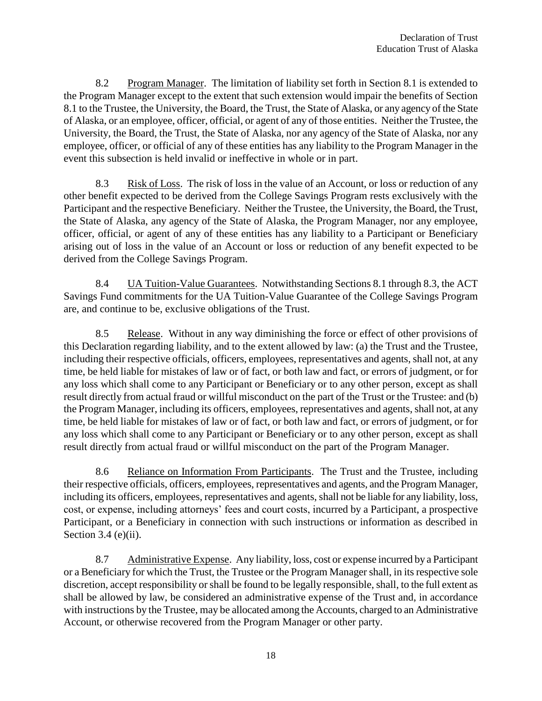8.2 Program Manager. The limitation of liability set forth in Section 8.1 is extended to the Program Manager except to the extent that such extension would impair the benefits of Section 8.1 to the Trustee, the University, the Board, the Trust, the State of Alaska, or any agency of the State of Alaska, or an employee, officer, official, or agent of any of those entities. Neither the Trustee, the University, the Board, the Trust, the State of Alaska, nor any agency of the State of Alaska, nor any employee, officer, or official of any of these entities has any liability to the Program Manager in the event this subsection is held invalid or ineffective in whole or in part.

8.3 Risk of Loss. The risk of loss in the value of an Account, or loss or reduction of any other benefit expected to be derived from the College Savings Program rests exclusively with the Participant and the respective Beneficiary. Neither the Trustee, the University, the Board, the Trust, the State of Alaska, any agency of the State of Alaska, the Program Manager, nor any employee, officer, official, or agent of any of these entities has any liability to a Participant or Beneficiary arising out of loss in the value of an Account or loss or reduction of any benefit expected to be derived from the College Savings Program.

8.4 UA Tuition-Value Guarantees. Notwithstanding Sections 8.1 through 8.3, the ACT Savings Fund commitments for the UA Tuition-Value Guarantee of the College Savings Program are, and continue to be, exclusive obligations of the Trust.

8.5 Release. Without in any way diminishing the force or effect of other provisions of this Declaration regarding liability, and to the extent allowed by law: (a) the Trust and the Trustee, including their respective officials, officers, employees, representatives and agents, shall not, at any time, be held liable for mistakes of law or of fact, or both law and fact, or errors of judgment, or for any loss which shall come to any Participant or Beneficiary or to any other person, except as shall result directly from actual fraud or willful misconduct on the part of the Trust or the Trustee: and (b) the Program Manager, including its officers, employees, representatives and agents, shall not, at any time, be held liable for mistakes of law or of fact, or both law and fact, or errors of judgment, or for any loss which shall come to any Participant or Beneficiary or to any other person, except as shall result directly from actual fraud or willful misconduct on the part of the Program Manager.

8.6 Reliance on Information From Participants. The Trust and the Trustee, including their respective officials, officers, employees, representatives and agents, and the Program Manager, including its officers, employees, representatives and agents, shall not be liable for any liability, loss, cost, or expense, including attorneys' fees and court costs, incurred by a Participant, a prospective Participant, or a Beneficiary in connection with such instructions or information as described in Section  $3.4$  (e)(ii).

8.7 Administrative Expense. Any liability, loss, cost or expense incurred by a Participant or a Beneficiary for which the Trust, the Trustee or the Program Manager shall, in its respective sole discretion, accept responsibility or shall be found to be legally responsible, shall, to the full extent as shall be allowed by law, be considered an administrative expense of the Trust and, in accordance with instructions by the Trustee, may be allocated among the Accounts, charged to an Administrative Account, or otherwise recovered from the Program Manager or other party.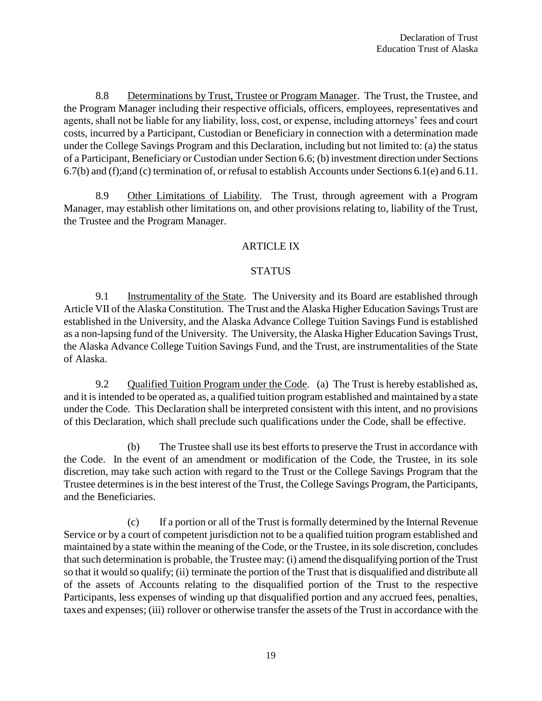8.8 Determinations by Trust, Trustee or Program Manager. The Trust, the Trustee, and the Program Manager including their respective officials, officers, employees, representatives and agents, shall not be liable for any liability, loss, cost, or expense, including attorneys' fees and court costs, incurred by a Participant, Custodian or Beneficiary in connection with a determination made under the College Savings Program and this Declaration, including but not limited to: (a) the status of a Participant, Beneficiary or Custodian under Section 6.6; (b) investment direction under Sections 6.7(b) and (f);and (c) termination of, or refusal to establish Accounts under Sections 6.1(e) and 6.11.

8.9 Other Limitations of Liability. The Trust, through agreement with a Program Manager, may establish other limitations on, and other provisions relating to, liability of the Trust, the Trustee and the Program Manager.

## ARTICLE IX

## STATUS

9.1 Instrumentality of the State. The University and its Board are established through Article VII of the Alaska Constitution. The Trust and the Alaska Higher Education Savings Trust are established in the University, and the Alaska Advance College Tuition Savings Fund is established as a non-lapsing fund of the University. The University, the Alaska Higher Education Savings Trust, the Alaska Advance College Tuition Savings Fund, and the Trust, are instrumentalities of the State of Alaska.

9.2 Qualified Tuition Program under the Code. (a) The Trust is hereby established as, and it is intended to be operated as, a qualified tuition program established and maintained by a state under the Code. This Declaration shall be interpreted consistent with this intent, and no provisions of this Declaration, which shall preclude such qualifications under the Code, shall be effective.

(b) The Trustee shall use its best efforts to preserve the Trust in accordance with the Code. In the event of an amendment or modification of the Code, the Trustee, in its sole discretion, may take such action with regard to the Trust or the College Savings Program that the Trustee determines is in the best interest of the Trust, the College Savings Program, the Participants, and the Beneficiaries.

(c) If a portion or all of the Trust is formally determined by the Internal Revenue Service or by a court of competent jurisdiction not to be a qualified tuition program established and maintained by a state within the meaning of the Code, or the Trustee, in its sole discretion, concludes that such determination is probable, the Trustee may: (i) amend the disqualifying portion of the Trust so that it would so qualify; (ii) terminate the portion of the Trust that is disqualified and distribute all of the assets of Accounts relating to the disqualified portion of the Trust to the respective Participants, less expenses of winding up that disqualified portion and any accrued fees, penalties, taxes and expenses; (iii) rollover or otherwise transfer the assets of the Trust in accordance with the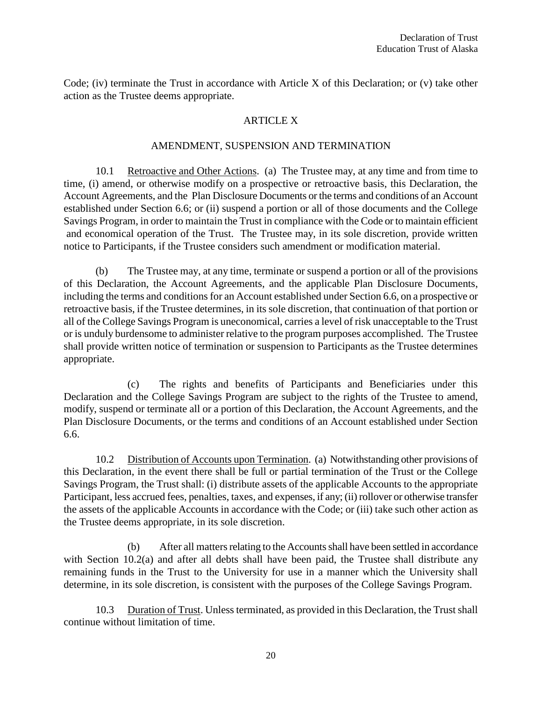Code; (iv) terminate the Trust in accordance with Article X of this Declaration; or (v) take other action as the Trustee deems appropriate.

## ARTICLE X

#### AMENDMENT, SUSPENSION AND TERMINATION

10.1 Retroactive and Other Actions. (a) The Trustee may, at any time and from time to time, (i) amend, or otherwise modify on a prospective or retroactive basis, this Declaration, the Account Agreements, and the Plan Disclosure Documents or the terms and conditions of an Account established under Section 6.6; or (ii) suspend a portion or all of those documents and the College Savings Program, in order to maintain the Trust in compliance with the Code or to maintain efficient and economical operation of the Trust. The Trustee may, in its sole discretion, provide written notice to Participants, if the Trustee considers such amendment or modification material.

(b) The Trustee may, at any time, terminate or suspend a portion or all of the provisions of this Declaration, the Account Agreements, and the applicable Plan Disclosure Documents, including the terms and conditions for an Account established under Section 6.6, on a prospective or retroactive basis, if the Trustee determines, in its sole discretion, that continuation of that portion or all of the College Savings Program is uneconomical, carries a level of risk unacceptable to the Trust or is unduly burdensome to administer relative to the program purposes accomplished. The Trustee shall provide written notice of termination or suspension to Participants as the Trustee determines appropriate.

(c) The rights and benefits of Participants and Beneficiaries under this Declaration and the College Savings Program are subject to the rights of the Trustee to amend, modify, suspend or terminate all or a portion of this Declaration, the Account Agreements, and the Plan Disclosure Documents, or the terms and conditions of an Account established under Section 6.6.

10.2 Distribution of Accounts upon Termination. (a) Notwithstanding other provisions of this Declaration, in the event there shall be full or partial termination of the Trust or the College Savings Program, the Trust shall: (i) distribute assets of the applicable Accounts to the appropriate Participant, less accrued fees, penalties, taxes, and expenses, if any; (ii) rollover or otherwise transfer the assets of the applicable Accounts in accordance with the Code; or (iii) take such other action as the Trustee deems appropriate, in its sole discretion.

(b) After all matters relating to the Accounts shall have been settled in accordance with Section 10.2(a) and after all debts shall have been paid, the Trustee shall distribute any remaining funds in the Trust to the University for use in a manner which the University shall determine, in its sole discretion, is consistent with the purposes of the College Savings Program.

10.3 Duration of Trust. Unless terminated, as provided in this Declaration, the Trust shall continue without limitation of time.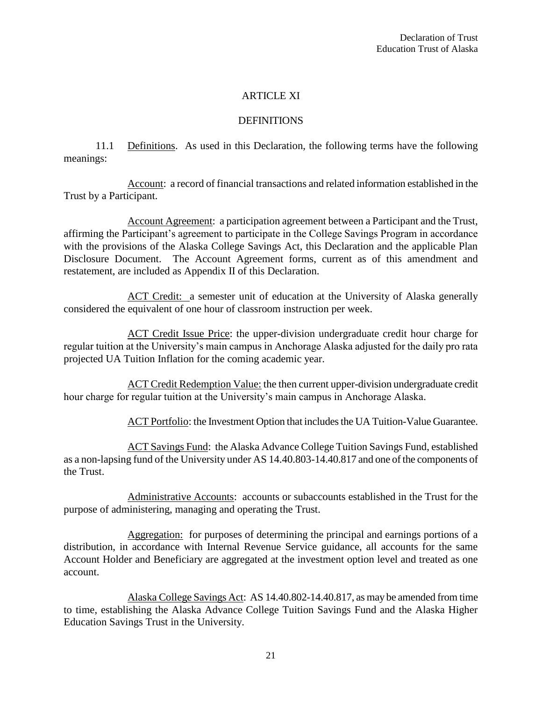## ARTICLE XI

#### DEFINITIONS

11.1 Definitions. As used in this Declaration, the following terms have the following meanings:

Account: a record of financial transactions and related information established in the Trust by a Participant.

Account Agreement: a participation agreement between a Participant and the Trust, affirming the Participant's agreement to participate in the College Savings Program in accordance with the provisions of the Alaska College Savings Act, this Declaration and the applicable Plan Disclosure Document. The Account Agreement forms, current as of this amendment and restatement, are included as Appendix II of this Declaration.

ACT Credit: a semester unit of education at the University of Alaska generally considered the equivalent of one hour of classroom instruction per week.

ACT Credit Issue Price: the upper-division undergraduate credit hour charge for regular tuition at the University's main campus in Anchorage Alaska adjusted for the daily pro rata projected UA Tuition Inflation for the coming academic year.

ACT Credit Redemption Value: the then current upper-division undergraduate credit hour charge for regular tuition at the University's main campus in Anchorage Alaska.

ACT Portfolio: the Investment Option that includes the UA Tuition-Value Guarantee.

ACT Savings Fund: the Alaska Advance College Tuition Savings Fund, established as a non-lapsing fund of the University under AS 14.40.803-14.40.817 and one of the components of the Trust.

Administrative Accounts: accounts or subaccounts established in the Trust for the purpose of administering, managing and operating the Trust.

Aggregation: for purposes of determining the principal and earnings portions of a distribution, in accordance with Internal Revenue Service guidance, all accounts for the same Account Holder and Beneficiary are aggregated at the investment option level and treated as one account.

Alaska College Savings Act: AS 14.40.802-14.40.817, as may be amended from time to time, establishing the Alaska Advance College Tuition Savings Fund and the Alaska Higher Education Savings Trust in the University.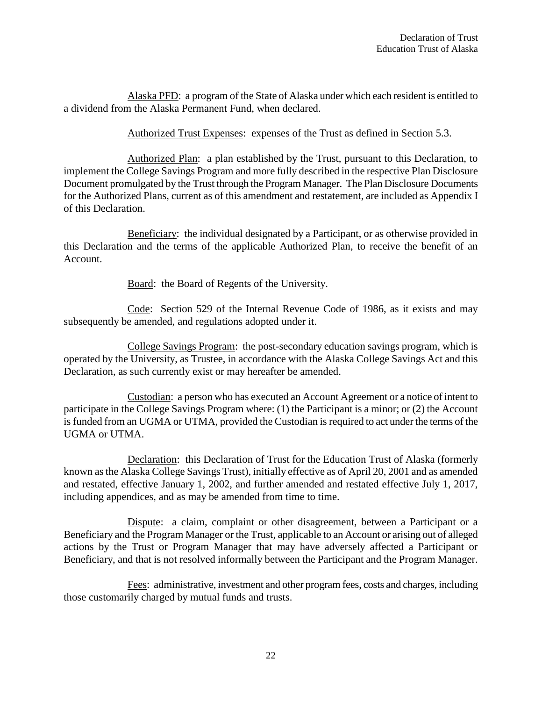Alaska PFD: a program of the State of Alaska under which each resident is entitled to a dividend from the Alaska Permanent Fund, when declared.

Authorized Trust Expenses: expenses of the Trust as defined in Section 5.3.

Authorized Plan: a plan established by the Trust, pursuant to this Declaration, to implement the College Savings Program and more fully described in the respective Plan Disclosure Document promulgated by the Trust through the Program Manager. The Plan Disclosure Documents for the Authorized Plans, current as of this amendment and restatement, are included as Appendix I of this Declaration.

Beneficiary: the individual designated by a Participant, or as otherwise provided in this Declaration and the terms of the applicable Authorized Plan, to receive the benefit of an Account.

Board: the Board of Regents of the University.

Code: Section 529 of the Internal Revenue Code of 1986, as it exists and may subsequently be amended, and regulations adopted under it.

College Savings Program: the post-secondary education savings program, which is operated by the University, as Trustee, in accordance with the Alaska College Savings Act and this Declaration, as such currently exist or may hereafter be amended.

Custodian: a person who has executed an Account Agreement or a notice of intent to participate in the College Savings Program where: (1) the Participant is a minor; or (2) the Account is funded from an UGMA or UTMA, provided the Custodian is required to act under the terms of the UGMA or UTMA.

Declaration: this Declaration of Trust for the Education Trust of Alaska (formerly known as the Alaska College Savings Trust), initially effective as of April 20, 2001 and as amended and restated, effective January 1, 2002, and further amended and restated effective July 1, 2017, including appendices, and as may be amended from time to time.

Dispute: a claim, complaint or other disagreement, between a Participant or a Beneficiary and the Program Manager or the Trust, applicable to an Account or arising out of alleged actions by the Trust or Program Manager that may have adversely affected a Participant or Beneficiary, and that is not resolved informally between the Participant and the Program Manager.

Fees: administrative, investment and other program fees, costs and charges, including those customarily charged by mutual funds and trusts.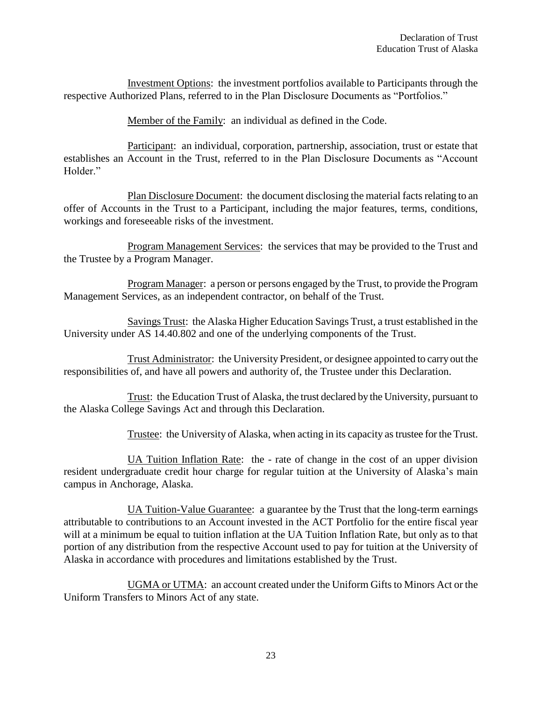Investment Options: the investment portfolios available to Participants through the respective Authorized Plans, referred to in the Plan Disclosure Documents as "Portfolios."

Member of the Family: an individual as defined in the Code.

Participant: an individual, corporation, partnership, association, trust or estate that establishes an Account in the Trust, referred to in the Plan Disclosure Documents as "Account Holder."

Plan Disclosure Document: the document disclosing the material facts relating to an offer of Accounts in the Trust to a Participant, including the major features, terms, conditions, workings and foreseeable risks of the investment.

Program Management Services: the services that may be provided to the Trust and the Trustee by a Program Manager.

Program Manager: a person or persons engaged by the Trust, to provide the Program Management Services, as an independent contractor, on behalf of the Trust.

Savings Trust: the Alaska Higher Education Savings Trust, a trust established in the University under AS 14.40.802 and one of the underlying components of the Trust.

Trust Administrator: the University President, or designee appointed to carry out the responsibilities of, and have all powers and authority of, the Trustee under this Declaration.

Trust: the Education Trust of Alaska, the trust declared by the University, pursuant to the Alaska College Savings Act and through this Declaration.

Trustee: the University of Alaska, when acting in its capacity as trustee for the Trust.

UA Tuition Inflation Rate: the - rate of change in the cost of an upper division resident undergraduate credit hour charge for regular tuition at the University of Alaska's main campus in Anchorage, Alaska.

UA Tuition-Value Guarantee: a guarantee by the Trust that the long-term earnings attributable to contributions to an Account invested in the ACT Portfolio for the entire fiscal year will at a minimum be equal to tuition inflation at the UA Tuition Inflation Rate, but only as to that portion of any distribution from the respective Account used to pay for tuition at the University of Alaska in accordance with procedures and limitations established by the Trust.

UGMA or UTMA: an account created under the Uniform Gifts to Minors Act or the Uniform Transfers to Minors Act of any state.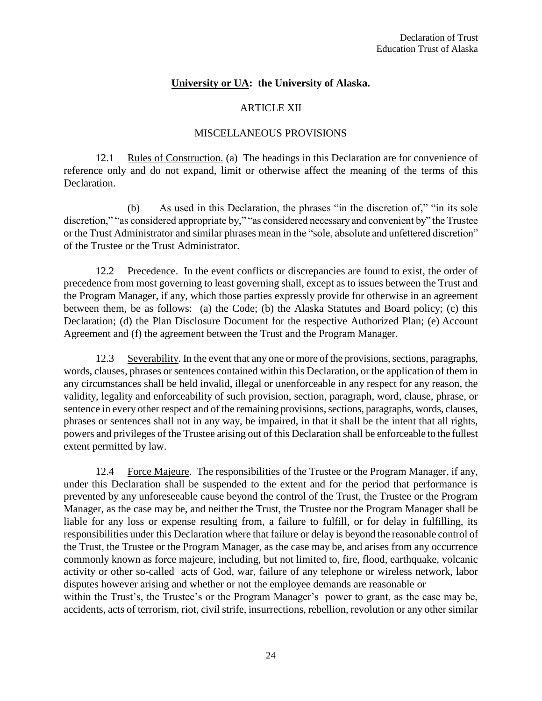#### **University or UA: the University of Alaska.**

#### ARTICLE XII

#### MISCELLANEOUS PROVISIONS

12.1 Rules of Construction. (a) The headings in this Declaration are for convenience of reference only and do not expand, limit or otherwise affect the meaning of the terms of this Declaration.

(b) As used in this Declaration, the phrases "in the discretion of," "in its sole discretion," "as considered appropriate by," "as considered necessary and convenient by" the Trustee or the Trust Administrator and similar phrases mean in the "sole, absolute and unfettered discretion" of the Trustee or the Trust Administrator.

12.2 Precedence. In the event conflicts or discrepancies are found to exist, the order of precedence from most governing to least governing shall, except as to issues between the Trust and the Program Manager, if any, which those parties expressly provide for otherwise in an agreement between them, be as follows: (a) the Code; (b) the Alaska Statutes and Board policy; (c) this Declaration; (d) the Plan Disclosure Document for the respective Authorized Plan; (e) Account Agreement and (f) the agreement between the Trust and the Program Manager.

12.3 Severability. In the event that any one or more of the provisions, sections, paragraphs, words, clauses, phrases or sentences contained within this Declaration, or the application of them in any circumstances shall be held invalid, illegal or unenforceable in any respect for any reason, the validity, legality and enforceability of such provision, section, paragraph, word, clause, phrase, or sentence in every other respect and of the remaining provisions, sections, paragraphs, words, clauses, phrases or sentences shall not in any way, be impaired, in that it shall be the intent that all rights, powers and privileges of the Trustee arising out of this Declaration shall be enforceable to the fullest extent permitted by law.

12.4 Force Majeure. The responsibilities of the Trustee or the Program Manager, if any, under this Declaration shall be suspended to the extent and for the period that performance is prevented by any unforeseeable cause beyond the control of the Trust, the Trustee or the Program Manager, as the case may be, and neither the Trust, the Trustee nor the Program Manager shall be liable for any loss or expense resulting from, a failure to fulfill, or for delay in fulfilling, its responsibilities under this Declaration where that failure or delay is beyond the reasonable control of the Trust, the Trustee or the Program Manager, as the case may be, and arises from any occurrence commonly known as force majeure, including, but not limited to, fire, flood, earthquake, volcanic activity or other so-called acts of God, war, failure of any telephone or wireless network, labor disputes however arising and whether or not the employee demands are reasonable or within the Trust's, the Trustee's or the Program Manager's power to grant, as the case may be, accidents, acts of terrorism, riot, civil strife, insurrections, rebellion, revolution or any other similar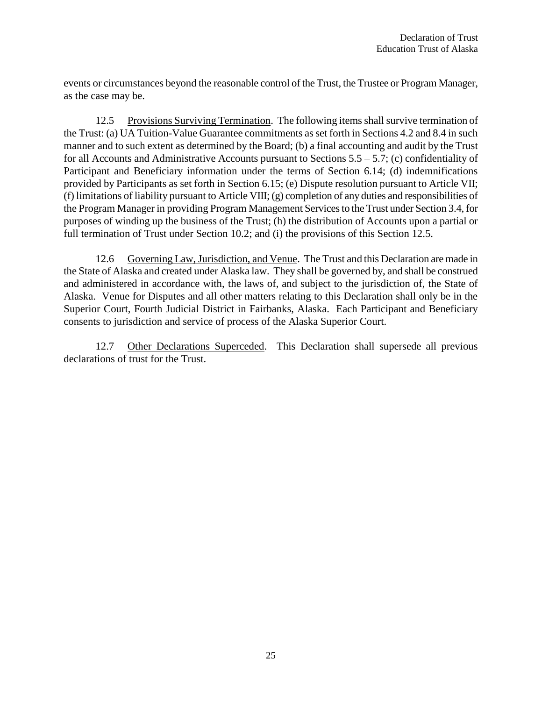events or circumstances beyond the reasonable control of the Trust, the Trustee or Program Manager, as the case may be.

12.5 Provisions Surviving Termination. The following items shall survive termination of the Trust: (a) UA Tuition-Value Guarantee commitments as set forth in Sections 4.2 and 8.4 in such manner and to such extent as determined by the Board; (b) a final accounting and audit by the Trust for all Accounts and Administrative Accounts pursuant to Sections 5.5 – 5.7; (c) confidentiality of Participant and Beneficiary information under the terms of Section 6.14; (d) indemnifications provided by Participants as set forth in Section 6.15; (e) Dispute resolution pursuant to Article VII; (f) limitations of liability pursuant to Article VIII; (g) completion of any duties and responsibilities of the Program Manager in providing Program Management Services to the Trust under Section 3.4, for purposes of winding up the business of the Trust; (h) the distribution of Accounts upon a partial or full termination of Trust under Section 10.2; and (i) the provisions of this Section 12.5.

12.6 Governing Law, Jurisdiction, and Venue. The Trust and this Declaration are made in the State of Alaska and created under Alaska law. They shall be governed by, and shall be construed and administered in accordance with, the laws of, and subject to the jurisdiction of, the State of Alaska. Venue for Disputes and all other matters relating to this Declaration shall only be in the Superior Court, Fourth Judicial District in Fairbanks, Alaska. Each Participant and Beneficiary consents to jurisdiction and service of process of the Alaska Superior Court.

12.7 Other Declarations Superceded. This Declaration shall supersede all previous declarations of trust for the Trust.